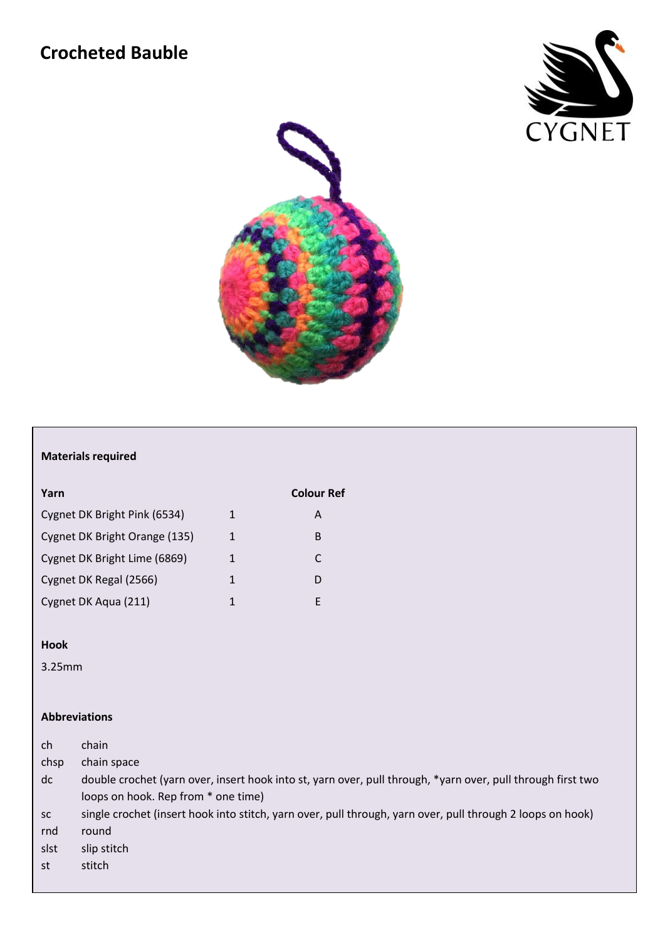# **Crocheted Bauble**





## **Materials required**

| Yarn                          |   | <b>Colour Ref</b> |
|-------------------------------|---|-------------------|
| Cygnet DK Bright Pink (6534)  | 1 | А                 |
| Cygnet DK Bright Orange (135) | 1 | B                 |
| Cygnet DK Bright Lime (6869)  | 1 | C                 |
| Cygnet DK Regal (2566)        | 1 | D                 |
| Cygnet DK Aqua (211)          | 1 | F                 |

#### **Hook**

3.25mm

### **Abbreviations**

| ch        | chain                                                                                                       |
|-----------|-------------------------------------------------------------------------------------------------------------|
| chsp      | chain space                                                                                                 |
| dc        | double crochet (yarn over, insert hook into st, yarn over, pull through, *yarn over, pull through first two |
|           | loops on hook. Rep from * one time)                                                                         |
| <b>SC</b> | single crochet (insert hook into stitch, yarn over, pull through, yarn over, pull through 2 loops on hook)  |
| rnd       | round                                                                                                       |
| slst      | slip stitch                                                                                                 |
| st        | stitch                                                                                                      |